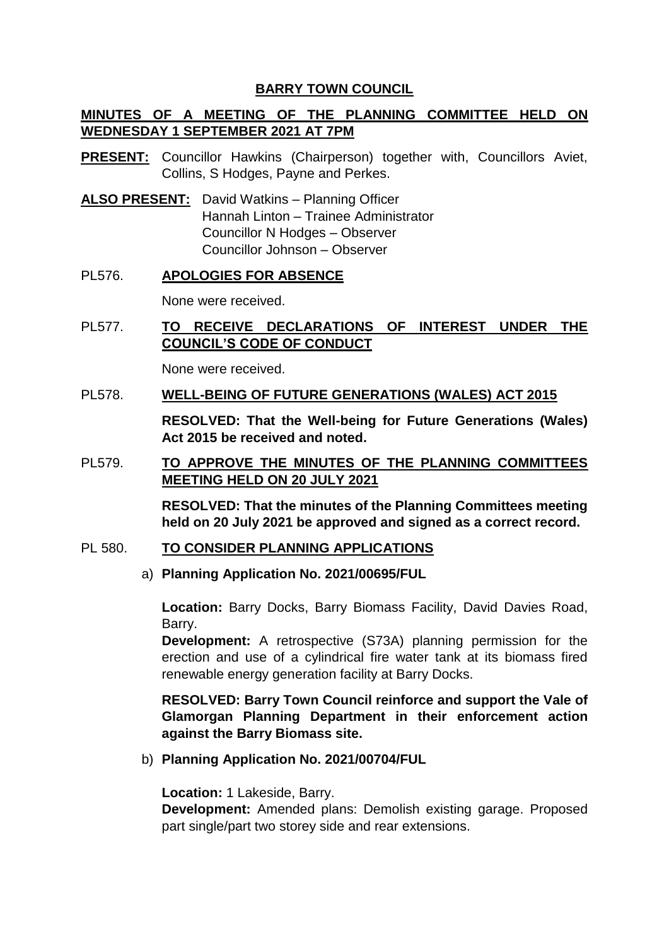## **BARRY TOWN COUNCIL**

# **MINUTES OF A MEETING OF THE PLANNING COMMITTEE HELD ON WEDNESDAY 1 SEPTEMBER 2021 AT 7PM**

- **PRESENT:** Councillor Hawkins (Chairperson) together with, Councillors Aviet, Collins, S Hodges, Payne and Perkes.
- **ALSO PRESENT:** David Watkins Planning Officer Hannah Linton – Trainee Administrator Councillor N Hodges – Observer Councillor Johnson – Observer

## PL576. **APOLOGIES FOR ABSENCE**

None were received.

# PL577. **TO RECEIVE DECLARATIONS OF INTEREST UNDER THE COUNCIL'S CODE OF CONDUCT**

None were received.

#### PL578. **WELL-BEING OF FUTURE GENERATIONS (WALES) ACT 2015**

**RESOLVED: That the Well-being for Future Generations (Wales) Act 2015 be received and noted.** 

## PL579. **TO APPROVE THE MINUTES OF THE PLANNING COMMITTEES MEETING HELD ON 20 JULY 2021**

**RESOLVED: That the minutes of the Planning Committees meeting held on 20 July 2021 be approved and signed as a correct record.** 

#### PL 580. **TO CONSIDER PLANNING APPLICATIONS**

#### a) **Planning Application No. 2021/00695/FUL**

**Location:** Barry Docks, Barry Biomass Facility, David Davies Road, Barry.

**Development:** A retrospective (S73A) planning permission for the erection and use of a cylindrical fire water tank at its biomass fired renewable energy generation facility at Barry Docks.

**RESOLVED: Barry Town Council reinforce and support the Vale of Glamorgan Planning Department in their enforcement action against the Barry Biomass site.**

b) **Planning Application No. 2021/00704/FUL**

**Location:** 1 Lakeside, Barry.

**Development:** Amended plans: Demolish existing garage. Proposed part single/part two storey side and rear extensions.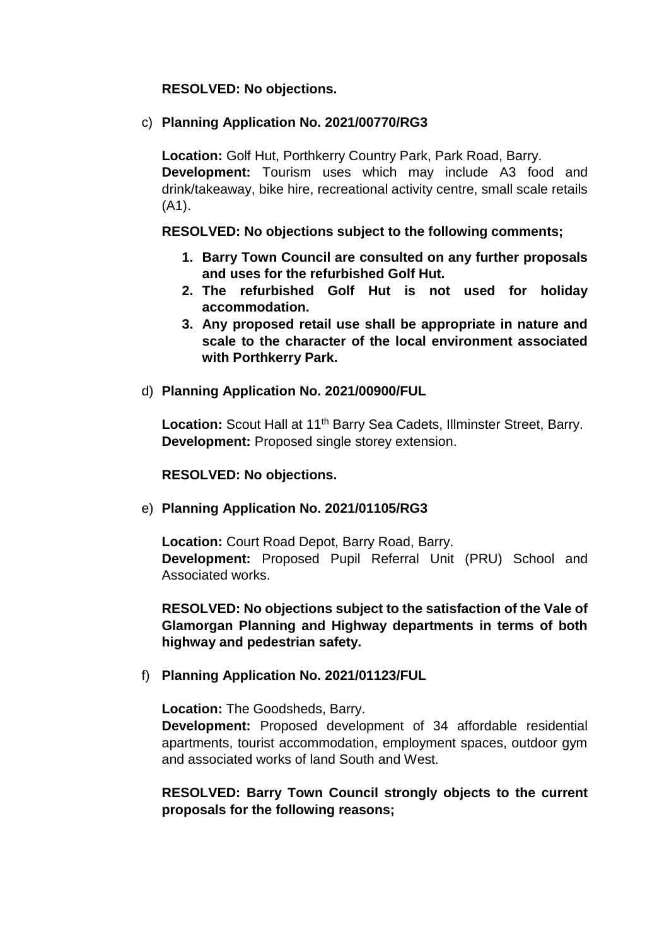### **RESOLVED: No objections.**

### c) **Planning Application No. 2021/00770/RG3**

**Location:** Golf Hut, Porthkerry Country Park, Park Road, Barry. **Development:** Tourism uses which may include A3 food and drink/takeaway, bike hire, recreational activity centre, small scale retails (A1).

#### **RESOLVED: No objections subject to the following comments;**

- **1. Barry Town Council are consulted on any further proposals and uses for the refurbished Golf Hut.**
- **2. The refurbished Golf Hut is not used for holiday accommodation.**
- **3. Any proposed retail use shall be appropriate in nature and scale to the character of the local environment associated with Porthkerry Park.**
- d) **Planning Application No. 2021/00900/FUL**

Location: Scout Hall at 11<sup>th</sup> Barry Sea Cadets, Illminster Street, Barry. **Development:** Proposed single storey extension.

#### **RESOLVED: No objections.**

## e) **Planning Application No. 2021/01105/RG3**

**Location:** Court Road Depot, Barry Road, Barry. **Development:** Proposed Pupil Referral Unit (PRU) School and Associated works.

**RESOLVED: No objections subject to the satisfaction of the Vale of Glamorgan Planning and Highway departments in terms of both highway and pedestrian safety.** 

## f) **Planning Application No. 2021/01123/FUL**

**Location:** The Goodsheds, Barry.

**Development:** Proposed development of 34 affordable residential apartments, tourist accommodation, employment spaces, outdoor gym and associated works of land South and West.

**RESOLVED: Barry Town Council strongly objects to the current proposals for the following reasons;**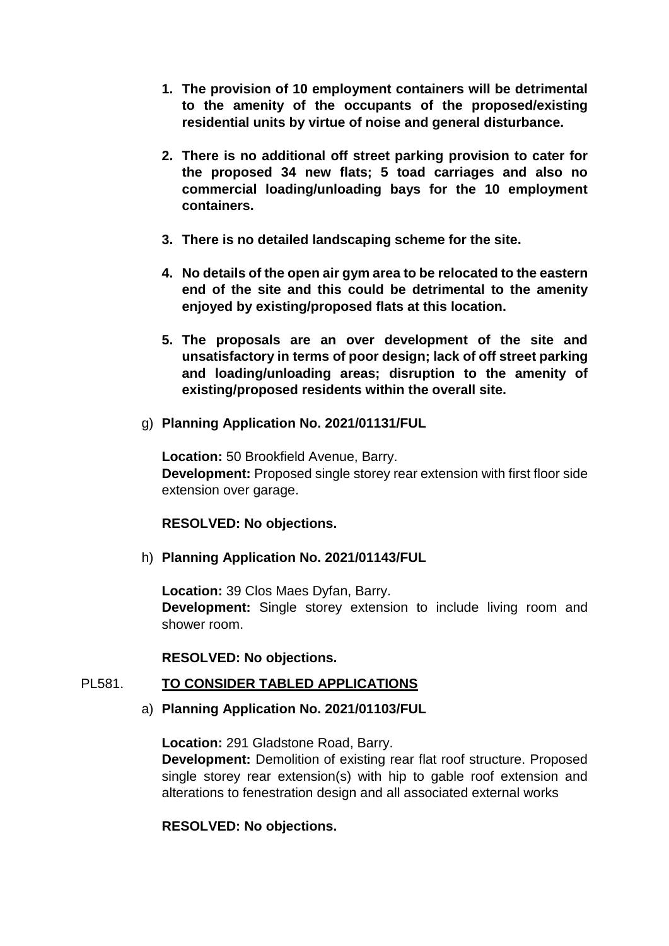- **1. The provision of 10 employment containers will be detrimental to the amenity of the occupants of the proposed/existing residential units by virtue of noise and general disturbance.**
- **2. There is no additional off street parking provision to cater for the proposed 34 new flats; 5 toad carriages and also no commercial loading/unloading bays for the 10 employment containers.**
- **3. There is no detailed landscaping scheme for the site.**
- **4. No details of the open air gym area to be relocated to the eastern end of the site and this could be detrimental to the amenity enjoyed by existing/proposed flats at this location.**
- **5. The proposals are an over development of the site and unsatisfactory in terms of poor design; lack of off street parking and loading/unloading areas; disruption to the amenity of existing/proposed residents within the overall site.**
- g) **Planning Application No. 2021/01131/FUL**

**Location:** 50 Brookfield Avenue, Barry. **Development:** Proposed single storey rear extension with first floor side extension over garage.

# **RESOLVED: No objections.**

h) **Planning Application No. 2021/01143/FUL**

**Location:** 39 Clos Maes Dyfan, Barry. **Development:** Single storey extension to include living room and shower room.

## **RESOLVED: No objections.**

# PL581. **TO CONSIDER TABLED APPLICATIONS**

## a) **Planning Application No. 2021/01103/FUL**

**Location:** 291 Gladstone Road, Barry. **Development:** Demolition of existing rear flat roof structure. Proposed single storey rear extension(s) with hip to gable roof extension and alterations to fenestration design and all associated external works

## **RESOLVED: No objections.**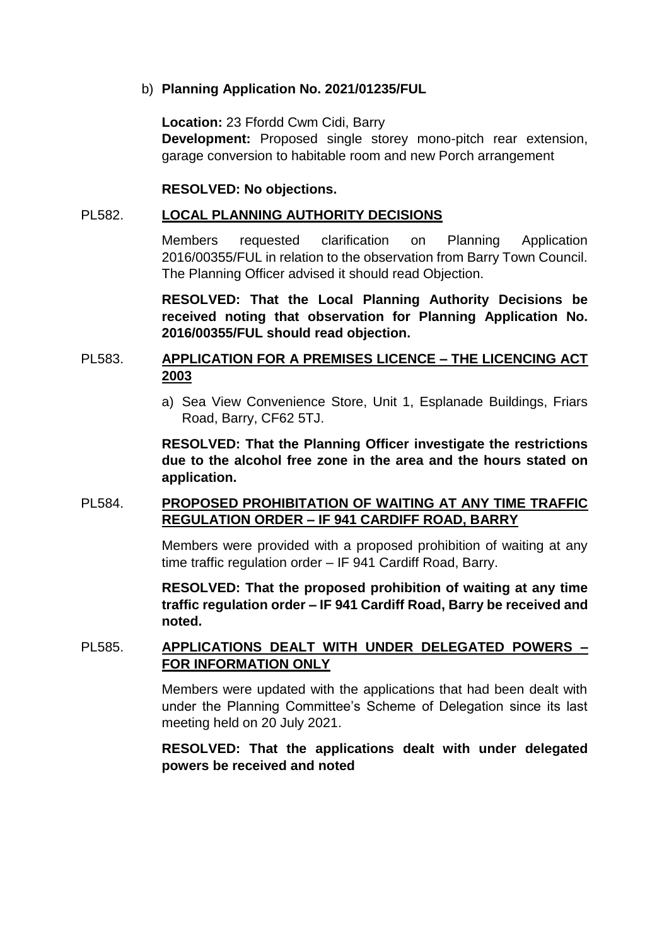#### b) **Planning Application No. 2021/01235/FUL**

**Location:** 23 Ffordd Cwm Cidi, Barry **Development:** Proposed single storey mono-pitch rear extension, garage conversion to habitable room and new Porch arrangement

### **RESOLVED: No objections.**

#### PL582. **LOCAL PLANNING AUTHORITY DECISIONS**

Members requested clarification on Planning Application 2016/00355/FUL in relation to the observation from Barry Town Council. The Planning Officer advised it should read Objection.

**RESOLVED: That the Local Planning Authority Decisions be received noting that observation for Planning Application No. 2016/00355/FUL should read objection.** 

## PL583. **APPLICATION FOR A PREMISES LICENCE – THE LICENCING ACT 2003**

a) Sea View Convenience Store, Unit 1, Esplanade Buildings, Friars Road, Barry, CF62 5TJ.

**RESOLVED: That the Planning Officer investigate the restrictions due to the alcohol free zone in the area and the hours stated on application.** 

## PL584. **PROPOSED PROHIBITATION OF WAITING AT ANY TIME TRAFFIC REGULATION ORDER – IF 941 CARDIFF ROAD, BARRY**

Members were provided with a proposed prohibition of waiting at any time traffic regulation order – IF 941 Cardiff Road, Barry.

**RESOLVED: That the proposed prohibition of waiting at any time traffic regulation order – IF 941 Cardiff Road, Barry be received and noted.**

## PL585. **APPLICATIONS DEALT WITH UNDER DELEGATED POWERS – FOR INFORMATION ONLY**

Members were updated with the applications that had been dealt with under the Planning Committee's Scheme of Delegation since its last meeting held on 20 July 2021.

**RESOLVED: That the applications dealt with under delegated powers be received and noted**